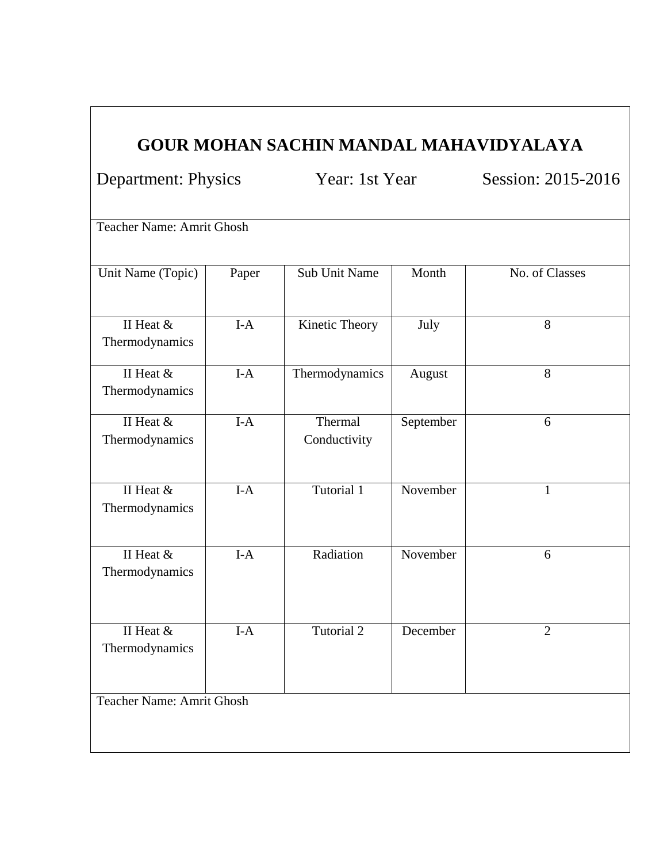## **GOUR MOHAN SACHIN MANDAL MAHAVIDYALAYA**

Department: Physics Year: 1st Year Session: 2015-2016

Teacher Name: Amrit Ghosh

| Unit Name (Topic)                | Paper | <b>Sub Unit Name</b>    | Month     | No. of Classes |  |  |  |
|----------------------------------|-------|-------------------------|-----------|----------------|--|--|--|
| II Heat &<br>Thermodynamics      | $I-A$ | Kinetic Theory          | July      | $\overline{8}$ |  |  |  |
| II Heat &<br>Thermodynamics      | $I-A$ | Thermodynamics          | August    | 8              |  |  |  |
| II Heat &<br>Thermodynamics      | $I-A$ | Thermal<br>Conductivity | September | 6              |  |  |  |
| II Heat &<br>Thermodynamics      | $I-A$ | Tutorial 1              | November  | $\mathbf{1}$   |  |  |  |
| II Heat &<br>Thermodynamics      | $I-A$ | Radiation               | November  | 6              |  |  |  |
| II Heat &<br>Thermodynamics      | $I-A$ | <b>Tutorial 2</b>       | December  | $\overline{2}$ |  |  |  |
| <b>Teacher Name: Amrit Ghosh</b> |       |                         |           |                |  |  |  |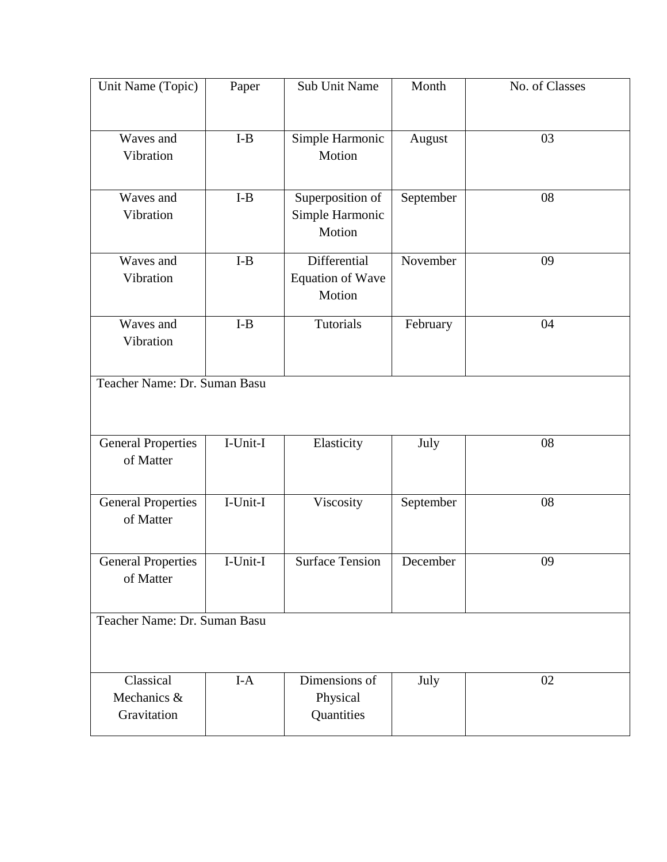| Unit Name (Topic)            | Paper                          | Sub Unit Name                     | Month     | No. of Classes |  |  |  |
|------------------------------|--------------------------------|-----------------------------------|-----------|----------------|--|--|--|
|                              |                                |                                   |           |                |  |  |  |
| Waves and                    | $\mbox{I-B}$                   | Simple Harmonic                   | August    | 03             |  |  |  |
| Vibration                    |                                | Motion                            |           |                |  |  |  |
| Waves and                    | $I-B$                          | Superposition of                  | September | 08             |  |  |  |
| Vibration                    |                                | Simple Harmonic<br>Motion         |           |                |  |  |  |
| Waves and                    | $\mathbf{I}\text{-}\mathbf{B}$ | Differential                      | November  | 09             |  |  |  |
| Vibration                    |                                | <b>Equation of Wave</b><br>Motion |           |                |  |  |  |
| Waves and                    | $\mathbf{I}\text{-}\mathbf{B}$ | <b>Tutorials</b>                  | February  | 04             |  |  |  |
| Vibration                    |                                |                                   |           |                |  |  |  |
| Teacher Name: Dr. Suman Basu |                                |                                   |           |                |  |  |  |
|                              |                                |                                   |           |                |  |  |  |
| <b>General Properties</b>    | I-Unit-I                       | Elasticity                        | July      | 08             |  |  |  |
| of Matter                    |                                |                                   |           |                |  |  |  |
| <b>General Properties</b>    | I-Unit-I                       | Viscosity                         | September | 08             |  |  |  |
| of Matter                    |                                |                                   |           |                |  |  |  |
| General Properties           | $\overline{\text{I-Unit-I}}$   | <b>Surface Tension</b>            | December  | 09             |  |  |  |
| of Matter                    |                                |                                   |           |                |  |  |  |
| Teacher Name: Dr. Suman Basu |                                |                                   |           |                |  |  |  |
|                              |                                |                                   |           |                |  |  |  |
| Classical                    | $I-A$                          | Dimensions of                     | July      | 02             |  |  |  |
| Mechanics &<br>Gravitation   |                                | Physical<br>Quantities            |           |                |  |  |  |
|                              |                                |                                   |           |                |  |  |  |